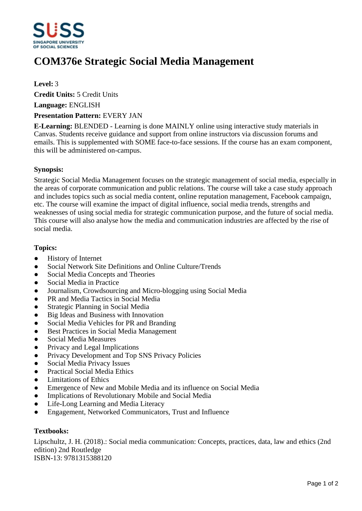

# **COM376e Strategic Social Media Management**

### **Level:** 3

**Credit Units:** 5 Credit Units

**Language:** ENGLISH

#### **Presentation Pattern:** EVERY JAN

**E-Learning:** BLENDED - Learning is done MAINLY online using interactive study materials in Canvas. Students receive guidance and support from online instructors via discussion forums and emails. This is supplemented with SOME face-to-face sessions. If the course has an exam component, this will be administered on-campus.

#### **Synopsis:**

Strategic Social Media Management focuses on the strategic management of social media, especially in the areas of corporate communication and public relations. The course will take a case study approach and includes topics such as social media content, online reputation management, Facebook campaign, etc. The course will examine the impact of digital influence, social media trends, strengths and weaknesses of using social media for strategic communication purpose, and the future of social media. This course will also analyse how the media and communication industries are affected by the rise of social media.

#### **Topics:**

- History of Internet
- Social Network Site Definitions and Online Culture/Trends
- Social Media Concepts and Theories
- Social Media in Practice
- Journalism, Crowdsourcing and Micro-blogging using Social Media
- PR and Media Tactics in Social Media
- Strategic Planning in Social Media
- Big Ideas and Business with Innovation
- Social Media Vehicles for PR and Branding
- Best Practices in Social Media Management
- Social Media Measures
- Privacy and Legal Implications
- Privacy Development and Top SNS Privacy Policies
- Social Media Privacy Issues
- Practical Social Media Ethics
- Limitations of Ethics
- Emergence of New and Mobile Media and its influence on Social Media
- Implications of Revolutionary Mobile and Social Media
- Life-Long Learning and Media Literacy
- Engagement, Networked Communicators, Trust and Influence

## **Textbooks:**

Lipschultz, J. H. (2018).: Social media communication: Concepts, practices, data, law and ethics (2nd edition) 2nd Routledge ISBN-13: 9781315388120